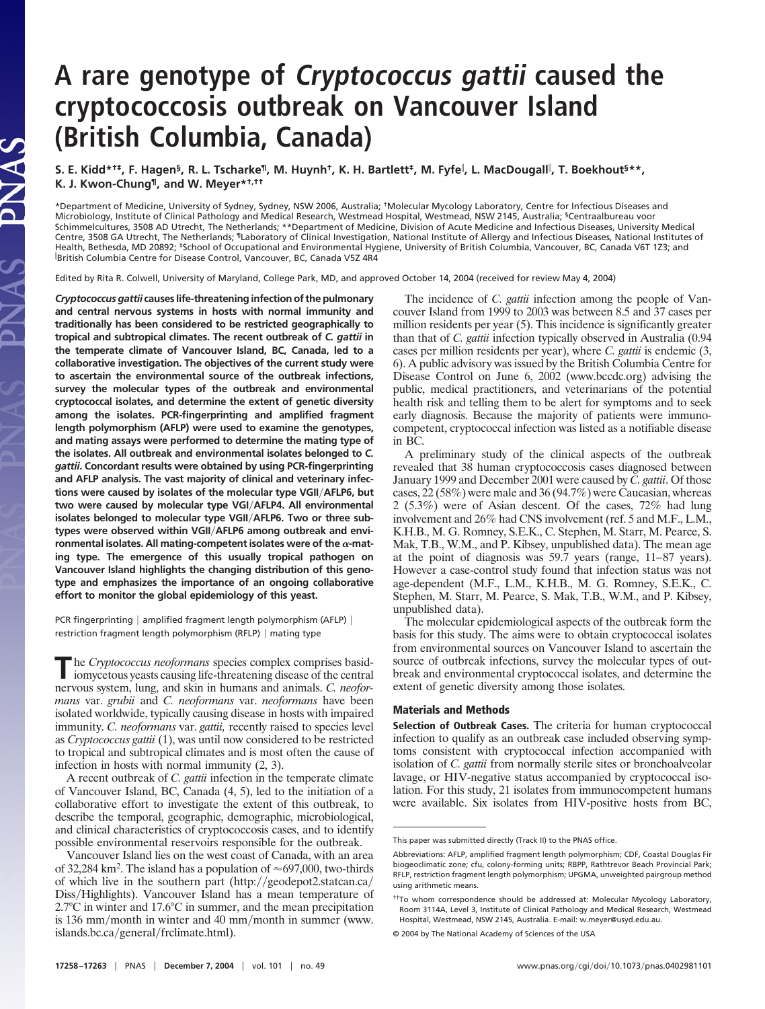## **A rare genotype of Cryptococcus gattii caused the cryptococcosis outbreak on Vancouver Island (British Columbia, Canada)**

**S. E. Kidd\*†‡, F. Hagen§, R. L. Tscharke¶, M. Huynh†, K. H. Bartlett‡, M. Fyfe , L. MacDougall , T. Boekhout§\*\*, K. J. Kwon-Chung¶, and W. Meyer\*†,††**

\*Department of Medicine, University of Sydney, Sydney, NSW 2006, Australia; †Molecular Mycology Laboratory, Centre for Infectious Diseases and Microbiology, Institute of Clinical Pathology and Medical Research, Westmead Hospital, Westmead, NSW 2145, Australia; §Centraalbureau voor Schimmelcultures, 3508 AD Utrecht, The Netherlands; \*\*Department of Medicine, Division of Acute Medicine and Infectious Diseases, University Medical Centre, 3508 GA Utrecht, The Netherlands; 『Laboratory of Clinical Investigation, National Institute of Allergy and Infectious Diseases, National Institutes of<br>Health, Bethesda, MD 20892; ‡School of Occupational and Environ British Columbia Centre for Disease Control, Vancouver, BC, Canada V5Z 4R4

Edited by Rita R. Colwell, University of Maryland, College Park, MD, and approved October 14, 2004 (received for review May 4, 2004)

*Cryptococcus gattii* **causes life-threatening infection of the pulmonary and central nervous systems in hosts with normal immunity and traditionally has been considered to be restricted geographically to tropical and subtropical climates. The recent outbreak of** *C. gattii* **in the temperate climate of Vancouver Island, BC, Canada, led to a collaborative investigation. The objectives of the current study were to ascertain the environmental source of the outbreak infections, survey the molecular types of the outbreak and environmental cryptococcal isolates, and determine the extent of genetic diversity among the isolates. PCR-fingerprinting and amplified fragment length polymorphism (AFLP) were used to examine the genotypes, and mating assays were performed to determine the mating type of the isolates. All outbreak and environmental isolates belonged to** *C. gattii***. Concordant results were obtained by using PCR-fingerprinting and AFLP analysis. The vast majority of clinical and veterinary infections were caused by isolates of the molecular type VGII**-**AFLP6, but two were caused by molecular type VGI**-**AFLP4. All environmental isolates belonged to molecular type VGII**-**AFLP6. Two or three subtypes were observed within VGII**-**AFLP6 among outbreak and envi**ronmental isolates. All mating-competent isolates were of the  $\alpha$ -mat**ing type. The emergence of this usually tropical pathogen on Vancouver Island highlights the changing distribution of this genotype and emphasizes the importance of an ongoing collaborative effort to monitor the global epidemiology of this yeast.**

PCR fingerprinting | amplified fragment length polymorphism (AFLP) | restriction fragment length polymorphism (RFLP) | mating type

The *Cryptococcus neoformans* species complex comprises basid-<br>iomycetous yeasts causing life-threatening disease of the central nervous system, lung, and skin in humans and animals. *C. neoformans* var. *grubii* and *C. neoformans* var. *neoformans* have been isolated worldwide, typically causing disease in hosts with impaired immunity. *C. neoformans* var. *gattii,* recently raised to species level as *Cryptococcus gattii* (1), was until now considered to be restricted to tropical and subtropical climates and is most often the cause of infection in hosts with normal immunity (2, 3).

A recent outbreak of *C. gattii* infection in the temperate climate of Vancouver Island, BC, Canada (4, 5), led to the initiation of a collaborative effort to investigate the extent of this outbreak, to describe the temporal, geographic, demographic, microbiological, and clinical characteristics of cryptococcosis cases, and to identify possible environmental reservoirs responsible for the outbreak.

Vancouver Island lies on the west coast of Canada, with an area of 32,284 km<sup>2</sup>. The island has a population of  $\approx 697,000$ , two-thirds of which live in the southern part (http://geodepot2.statcan.ca/ Diss/Highlights). Vancouver Island has a mean temperature of 2.7°C in winter and 17.6°C in summer, and the mean precipitation is 136 mm/month in winter and 40 mm/month in summer (www. islands.bc.ca/general/frclimate.html).

The incidence of *C. gattii* infection among the people of Vancouver Island from 1999 to 2003 was between 8.5 and 37 cases per million residents per year (5). This incidence is significantly greater than that of *C. gattii* infection typically observed in Australia (0.94 cases per million residents per year), where *C. gattii* is endemic (3, 6). A public advisory was issued by the British Columbia Centre for Disease Control on June 6, 2002 (www.bccdc.org) advising the public, medical practitioners, and veterinarians of the potential health risk and telling them to be alert for symptoms and to seek early diagnosis. Because the majority of patients were immunocompetent, cryptococcal infection was listed as a notifiable disease in BC.

A preliminary study of the clinical aspects of the outbreak revealed that 38 human cryptococcosis cases diagnosed between January 1999 and December 2001 were caused by *C. gattii*. Of those cases, 22 (58%) were male and 36 (94.7%) were Caucasian, whereas 2 (5.3%) were of Asian descent. Of the cases, 72% had lung involvement and 26% had CNS involvement (ref. 5 and M.F., L.M., K.H.B., M. G. Romney, S.E.K., C. Stephen, M. Starr, M. Pearce, S. Mak, T.B., W.M., and P. Kibsey, unpublished data). The mean age at the point of diagnosis was 59.7 years (range, 11–87 years). However a case-control study found that infection status was not age-dependent (M.F., L.M., K.H.B., M. G. Romney, S.E.K., C. Stephen, M. Starr, M. Pearce, S. Mak, T.B., W.M., and P. Kibsey, unpublished data).

The molecular epidemiological aspects of the outbreak form the basis for this study. The aims were to obtain cryptococcal isolates from environmental sources on Vancouver Island to ascertain the source of outbreak infections, survey the molecular types of outbreak and environmental cryptococcal isolates, and determine the extent of genetic diversity among those isolates.

## **Materials and Methods**

**Selection of Outbreak Cases.** The criteria for human cryptococcal infection to qualify as an outbreak case included observing symptoms consistent with cryptococcal infection accompanied with isolation of *C. gattii* from normally sterile sites or bronchoalveolar lavage, or HIV-negative status accompanied by cryptococcal isolation. For this study, 21 isolates from immunocompetent humans were available. Six isolates from HIV-positive hosts from BC,

This paper was submitted directly (Track II) to the PNAS office.

Abbreviations: AFLP, amplified fragment length polymorphism; CDF, Coastal Douglas Fir biogeoclimatic zone; cfu, colony-forming units; RBPP, Rathtrevor Beach Provincial Park; RFLP, restriction fragment length polymorphism; UPGMA, unweighted pairgroup method using arithmetic means.

<sup>††</sup>To whom correspondence should be addressed at: Molecular Mycology Laboratory, Room 3114A, Level 3, Institute of Clinical Pathology and Medical Research, Westmead Hospital, Westmead, NSW 2145, Australia. E-mail: w.meyer@usyd.edu.au.

<sup>© 2004</sup> by The National Academy of Sciences of the USA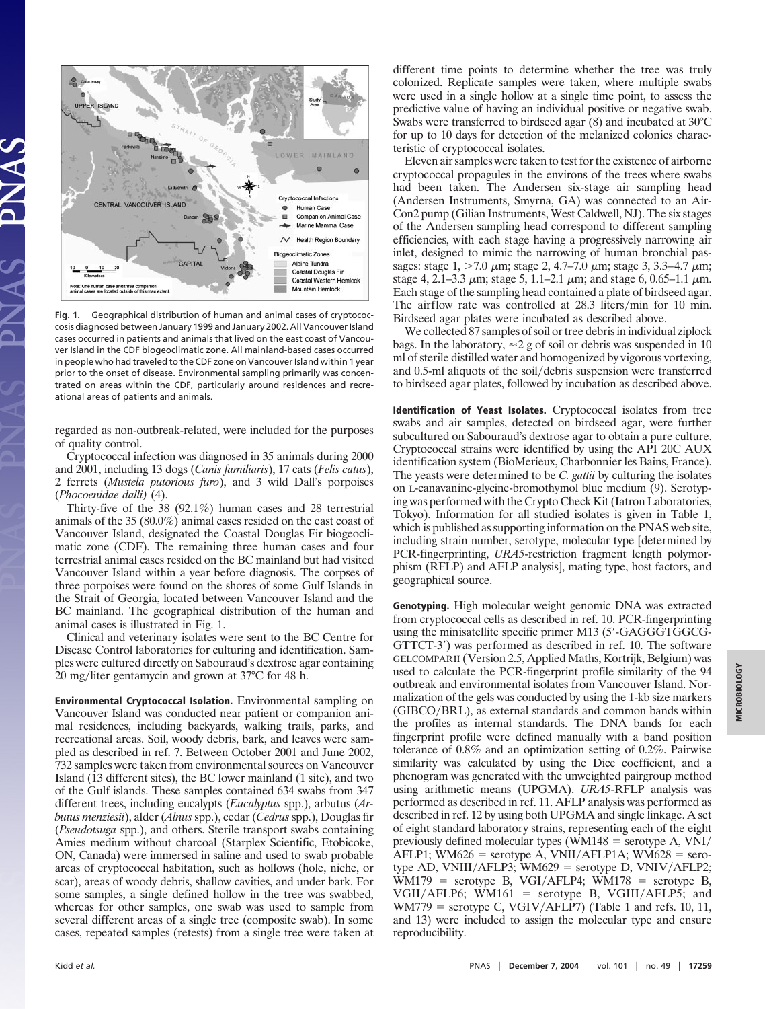

**Fig. 1.** Geographical distribution of human and animal cases of cryptococcosis diagnosed between January 1999 and January 2002. All Vancouver Island cases occurred in patients and animals that lived on the east coast of Vancouver Island in the CDF biogeoclimatic zone. All mainland-based cases occurred in people who had traveled to the CDF zone on Vancouver Island within 1 year prior to the onset of disease. Environmental sampling primarily was concentrated on areas within the CDF, particularly around residences and recreational areas of patients and animals.

regarded as non-outbreak-related, were included for the purposes of quality control.

Cryptococcal infection was diagnosed in 35 animals during 2000 and 2001, including 13 dogs (*Canis familiaris*), 17 cats (*Felis catus*), 2 ferrets (*Mustela putorious furo*), and 3 wild Dall's porpoises (*Phocoenidae dalli)* (4).

Thirty-five of the 38 (92.1%) human cases and 28 terrestrial animals of the 35 (80.0%) animal cases resided on the east coast of Vancouver Island, designated the Coastal Douglas Fir biogeoclimatic zone (CDF). The remaining three human cases and four terrestrial animal cases resided on the BC mainland but had visited Vancouver Island within a year before diagnosis. The corpses of three porpoises were found on the shores of some Gulf Islands in the Strait of Georgia, located between Vancouver Island and the BC mainland. The geographical distribution of the human and animal cases is illustrated in Fig. 1.

Clinical and veterinary isolates were sent to the BC Centre for Disease Control laboratories for culturing and identification. Samples were cultured directly on Sabouraud's dextrose agar containing 20 mg/liter gentamycin and grown at 37°C for 48 h.

**Environmental Cryptococcal Isolation.** Environmental sampling on Vancouver Island was conducted near patient or companion animal residences, including backyards, walking trails, parks, and recreational areas. Soil, woody debris, bark, and leaves were sampled as described in ref. 7. Between October 2001 and June 2002, 732 samples were taken from environmental sources on Vancouver Island (13 different sites), the BC lower mainland (1 site), and two of the Gulf islands. These samples contained 634 swabs from 347 different trees, including eucalypts (*Eucalyptus* spp.), arbutus (*Arbutus menziesii*), alder (*Alnus* spp.), cedar (*Cedrus* spp.), Douglas fir (*Pseudotsuga* spp.), and others. Sterile transport swabs containing Amies medium without charcoal (Starplex Scientific, Etobicoke, ON, Canada) were immersed in saline and used to swab probable areas of cryptococcal habitation, such as hollows (hole, niche, or scar), areas of woody debris, shallow cavities, and under bark. For some samples, a single defined hollow in the tree was swabbed, whereas for other samples, one swab was used to sample from several different areas of a single tree (composite swab). In some cases, repeated samples (retests) from a single tree were taken at different time points to determine whether the tree was truly colonized. Replicate samples were taken, where multiple swabs were used in a single hollow at a single time point, to assess the predictive value of having an individual positive or negative swab. Swabs were transferred to birdseed agar (8) and incubated at 30°C for up to 10 days for detection of the melanized colonies characteristic of cryptococcal isolates.

Eleven air samples were taken to test for the existence of airborne cryptococcal propagules in the environs of the trees where swabs had been taken. The Andersen six-stage air sampling head (Andersen Instruments, Smyrna, GA) was connected to an Air-Con2 pump (Gilian Instruments, West Caldwell, NJ). The six stages of the Andersen sampling head correspond to different sampling efficiencies, with each stage having a progressively narrowing air inlet, designed to mimic the narrowing of human bronchial passages: stage  $1, > 7.0 \mu m$ ; stage  $2, 4.7 - 7.0 \mu m$ ; stage  $3, 3.3 - 4.7 \mu m$ ; stage 4, 2.1–3.3  $\mu$ m; stage 5, 1.1–2.1  $\mu$ m; and stage 6, 0.65–1.1  $\mu$ m. Each stage of the sampling head contained a plate of birdseed agar. The airflow rate was controlled at 28.3 liters/min for 10 min. Birdseed agar plates were incubated as described above.

We collected 87 samples of soil or tree debris in individual ziplock bags. In the laboratory,  $\approx$  2 g of soil or debris was suspended in 10 ml of sterile distilled water and homogenized by vigorous vortexing, and 0.5-ml aliquots of the soil/debris suspension were transferred to birdseed agar plates, followed by incubation as described above.

**Identification of Yeast Isolates.** Cryptococcal isolates from tree swabs and air samples, detected on birdseed agar, were further subcultured on Sabouraud's dextrose agar to obtain a pure culture. Cryptococcal strains were identified by using the API 20C AUX identification system (BioMerieux, Charbonnier les Bains, France). The yeasts were determined to be *C. gattii* by culturing the isolates on L-canavanine-glycine-bromothymol blue medium (9). Serotyping was performed with the Crypto Check Kit (Iatron Laboratories, Tokyo). Information for all studied isolates is given in Table 1, which is published as supporting information on the PNAS web site, including strain number, serotype, molecular type [determined by PCR-fingerprinting, *URA5*-restriction fragment length polymorphism (RFLP) and AFLP analysis], mating type, host factors, and geographical source.

**Genotyping.** High molecular weight genomic DNA was extracted from cryptococcal cells as described in ref. 10. PCR-fingerprinting using the minisatellite specific primer M13 (5'-GAGGGTGGCG-GTTCT-3) was performed as described in ref. 10. The software GELCOMPARII (Version 2.5, Applied Maths, Kortrijk, Belgium) was used to calculate the PCR-fingerprint profile similarity of the 94 outbreak and environmental isolates from Vancouver Island. Normalization of the gels was conducted by using the 1-kb size markers (GIBCO/BRL), as external standards and common bands within the profiles as internal standards. The DNA bands for each fingerprint profile were defined manually with a band position tolerance of 0.8% and an optimization setting of 0.2%. Pairwise similarity was calculated by using the Dice coefficient, and a phenogram was generated with the unweighted pairgroup method using arithmetic means (UPGMA). *URA5*-RFLP analysis was performed as described in ref. 11. AFLP analysis was performed as described in ref. 12 by using both UPGMA and single linkage. A set of eight standard laboratory strains, representing each of the eight previously defined molecular types (WM148  $=$  serotype A, VNI/  $AFLP1$ ; WM626 = serotype A, VNII/AFLP1A; WM628 = serotype AD,  $VNIII/AFLP3$ ;  $WM629$  = serotype D,  $VNIV/AFLP2$ ;  $WM179$  = serotype B, VGI/AFLP4;  $WM178$  = serotype B,  $VGII/AFLP6$ ; WM161 = serotype B, VGIII/AFLP5; and  $WM779$  = serotype C,  $VGIV/AFLP7$ ) (Table 1 and refs. 10, 11, and 13) were included to assign the molecular type and ensure reproducibility.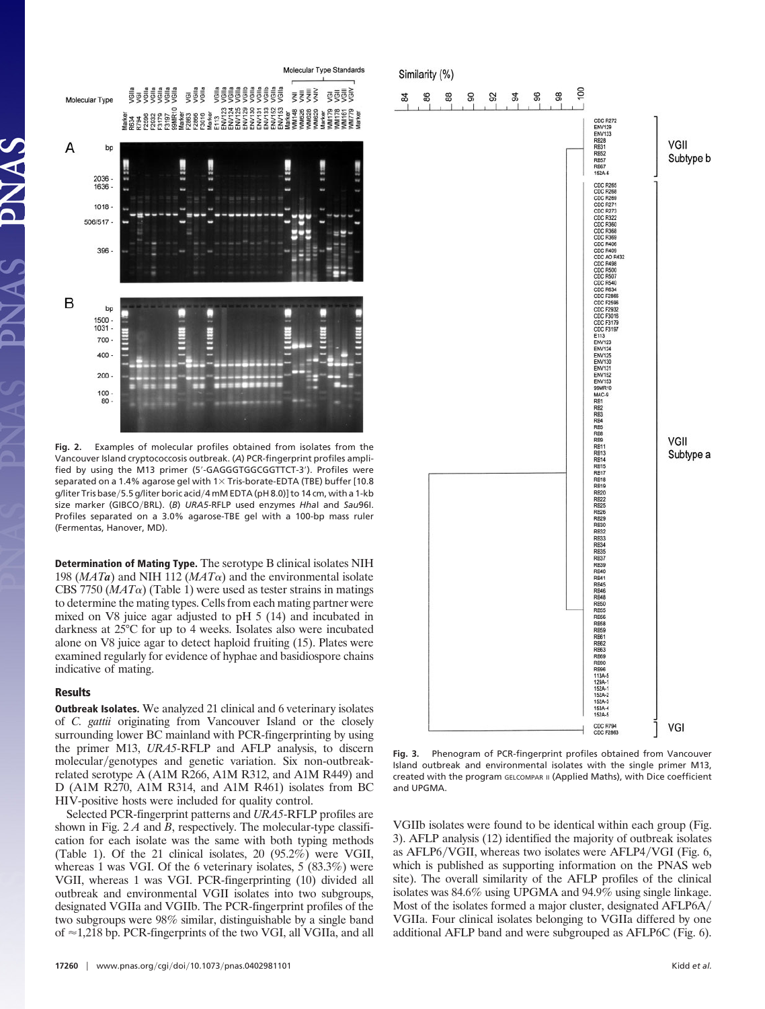

**Fig. 2.** Examples of molecular profiles obtained from isolates from the Vancouver Island cryptococcosis outbreak. (*A*) PCR-fingerprint profiles amplified by using the M13 primer (5'-GAGGGTGGCGGTTCT-3'). Profiles were separated on a 1.4% agarose gel with  $1 \times$  Tris-borate-EDTA (TBE) buffer [10.8 g/liter Tris base/5.5 g/liter boric acid/4 mM EDTA (pH 8.0)] to 14 cm, with a 1-kb size marker (GIBCO/BRL). (B) URA5-RFLP used enzymes *Hhal* and Sau96I. Profiles separated on a 3.0% agarose-TBE gel with a 100-bp mass ruler (Fermentas, Hanover, MD).

**Determination of Mating Type.** The serotype B clinical isolates NIH 198 ( $MATa$ ) and NIH 112 ( $MAT\alpha$ ) and the environmental isolate CBS 7750 ( $MAT\alpha$ ) (Table 1) were used as tester strains in matings to determine the mating types. Cells from each mating partner were mixed on V8 juice agar adjusted to pH 5 (14) and incubated in darkness at 25°C for up to 4 weeks. Isolates also were incubated alone on V8 juice agar to detect haploid fruiting (15). Plates were examined regularly for evidence of hyphae and basidiospore chains indicative of mating.

## **Results**

**Outbreak Isolates.** We analyzed 21 clinical and 6 veterinary isolates of *C. gattii* originating from Vancouver Island or the closely surrounding lower BC mainland with PCR-fingerprinting by using the primer M13, *URA5*-RFLP and AFLP analysis, to discern molecular/genotypes and genetic variation. Six non-outbreakrelated serotype A (A1M R266, A1M R312, and A1M R449) and D (A1M R270, A1M R314, and A1M R461) isolates from BC HIV-positive hosts were included for quality control.

Selected PCR-fingerprint patterns and *URA5*-RFLP profiles are shown in Fig. 2 *A* and *B*, respectively. The molecular-type classification for each isolate was the same with both typing methods (Table 1). Of the 21 clinical isolates, 20 (95.2%) were VGII, whereas 1 was VGI. Of the 6 veterinary isolates, 5 (83.3%) were VGII, whereas 1 was VGI. PCR-fingerprinting (10) divided all outbreak and environmental VGII isolates into two subgroups, designated VGIIa and VGIIb. The PCR-fingerprint profiles of the two subgroups were 98% similar, distinguishable by a single band of  $\approx$  1,218 bp. PCR-fingerprints of the two VGI, all VGIIa, and all



**Fig. 3.** Phenogram of PCR-fingerprint profiles obtained from Vancouver Island outbreak and environmental isolates with the single primer M13, created with the program GELCOMPAR II (Applied Maths), with Dice coefficient and UPGMA.

VGIIb isolates were found to be identical within each group (Fig. 3). AFLP analysis (12) identified the majority of outbreak isolates as AFLP6/VGII, whereas two isolates were AFLP4/VGI (Fig. 6, which is published as supporting information on the PNAS web site). The overall similarity of the AFLP profiles of the clinical isolates was 84.6% using UPGMA and 94.9% using single linkage. Most of the isolates formed a major cluster, designated AFLP6A/ VGIIa. Four clinical isolates belonging to VGIIa differed by one additional AFLP band and were subgrouped as AFLP6C (Fig. 6).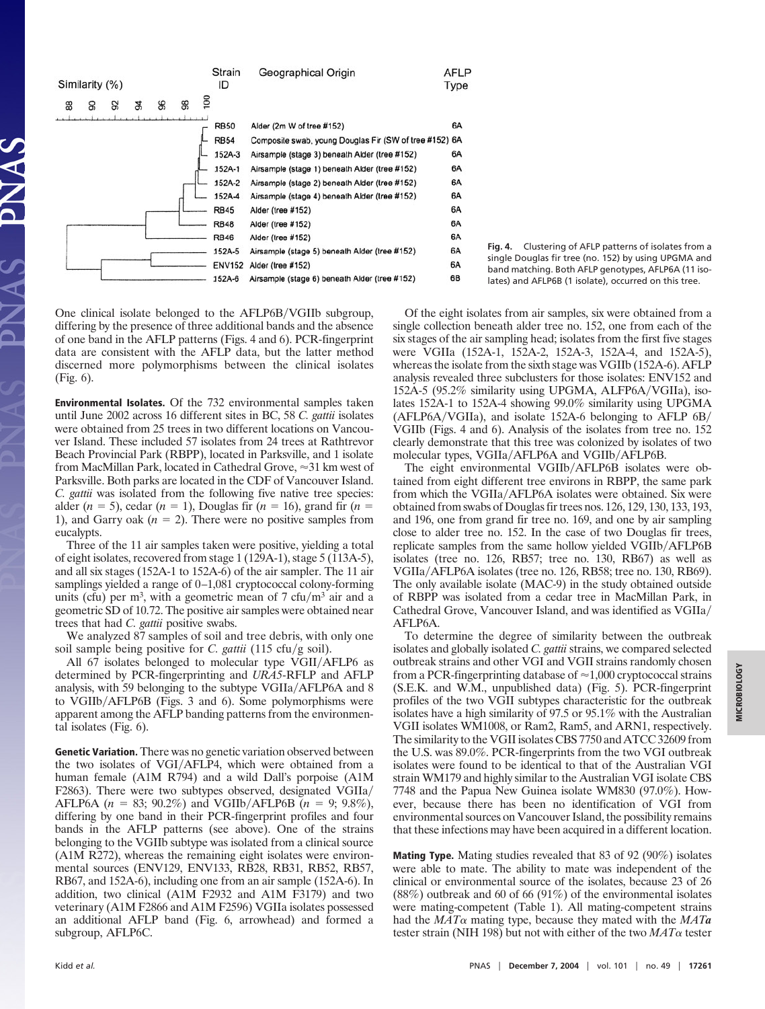

One clinical isolate belonged to the AFLP6B/VGIIb subgroup, differing by the presence of three additional bands and the absence of one band in the AFLP patterns (Figs. 4 and 6). PCR-fingerprint data are consistent with the AFLP data, but the latter method discerned more polymorphisms between the clinical isolates (Fig. 6).

**Environmental Isolates.** Of the 732 environmental samples taken until June 2002 across 16 different sites in BC, 58 *C. gattii* isolates were obtained from 25 trees in two different locations on Vancouver Island. These included 57 isolates from 24 trees at Rathtrevor Beach Provincial Park (RBPP), located in Parksville, and 1 isolate from MacMillan Park, located in Cathedral Grove,  $\approx$ 31 km west of Parksville. Both parks are located in the CDF of Vancouver Island. *C. gattii* was isolated from the following five native tree species: alder  $(n = 5)$ , cedar  $(n = 1)$ , Douglas fir  $(n = 16)$ , grand fir  $(n = 16)$ 1), and Garry oak  $(n = 2)$ . There were no positive samples from eucalypts.

Three of the 11 air samples taken were positive, yielding a total of eight isolates, recovered from stage 1 (129A-1), stage 5 (113A-5), and all six stages (152A-1 to 152A-6) of the air sampler. The 11 air samplings yielded a range of 0–1,081 cryptococcal colony-forming units (cfu) per  $m<sup>3</sup>$ , with a geometric mean of 7 cfu/ $m<sup>3</sup>$  air and a geometric SD of 10.72. The positive air samples were obtained near trees that had *C. gattii* positive swabs.

We analyzed 87 samples of soil and tree debris, with only one soil sample being positive for *C. gattii* (115 cfu/g soil).

All 67 isolates belonged to molecular type VGII/AFLP6 as determined by PCR-fingerprinting and *URA5*-RFLP and AFLP analysis, with 59 belonging to the subtype VGIIa/AFLP6A and 8 to VGIIb/AFLP6B (Figs. 3 and 6). Some polymorphisms were apparent among the AFLP banding patterns from the environmental isolates (Fig. 6).

**Genetic Variation.** There was no genetic variation observed between the two isolates of VGI/AFLP4, which were obtained from a human female (A1M R794) and a wild Dall's porpoise (A1M F2863). There were two subtypes observed, designated VGIIa/ AFLP6A  $(n = 83; 90.2\%)$  and VGIIb/AFLP6B  $(n = 9; 9.8\%)$ , differing by one band in their PCR-fingerprint profiles and four bands in the AFLP patterns (see above). One of the strains belonging to the VGIIb subtype was isolated from a clinical source (A1M R272), whereas the remaining eight isolates were environmental sources (ENV129, ENV133, RB28, RB31, RB52, RB57, RB67, and 152A-6), including one from an air sample (152A-6). In addition, two clinical (A1M F2932 and A1M F3179) and two veterinary (A1M F2866 and A1M F2596) VGIIa isolates possessed an additional AFLP band (Fig. 6, arrowhead) and formed a subgroup, AFLP6C.

**Fig. 4.** Clustering of AFLP patterns of isolates from a single Douglas fir tree (no. 152) by using UPGMA and band matching. Both AFLP genotypes, AFLP6A (11 isolates) and AFLP6B (1 isolate), occurred on this tree.

Of the eight isolates from air samples, six were obtained from a single collection beneath alder tree no. 152, one from each of the six stages of the air sampling head; isolates from the first five stages were VGIIa (152A-1, 152A-2, 152A-3, 152A-4, and 152A-5), whereas the isolate from the sixth stage was VGIIb (152A-6). AFLP analysis revealed three subclusters for those isolates: ENV152 and 152A-5 (95.2% similarity using UPGMA, ALFP6A/VGIIa), isolates 152A-1 to 152A-4 showing 99.0% similarity using UPGMA  $(AFLP6A/VGIIa)$ , and isolate 152A-6 belonging to AFLP  $6B/A$ VGIIb (Figs. 4 and 6). Analysis of the isolates from tree no. 152 clearly demonstrate that this tree was colonized by isolates of two molecular types, VGIIa/AFLP6A and VGIIb/AFLP6B.

The eight environmental VGIIb/AFLP6B isolates were obtained from eight different tree environs in RBPP, the same park from which the VGIIa/AFLP6A isolates were obtained. Six were obtained from swabs of Douglas fir trees nos. 126, 129, 130, 133, 193, and 196, one from grand fir tree no. 169, and one by air sampling close to alder tree no. 152. In the case of two Douglas fir trees, replicate samples from the same hollow yielded VGIIb/AFLP6B isolates (tree no. 126, RB57; tree no. 130, RB67) as well as VGIIa/AFLP6A isolates (tree no. 126, RB58; tree no. 130, RB69). The only available isolate (MAC-9) in the study obtained outside of RBPP was isolated from a cedar tree in MacMillan Park, in Cathedral Grove, Vancouver Island, and was identified as VGIIa/ AFLP6A.

To determine the degree of similarity between the outbreak isolates and globally isolated *C. gattii* strains, we compared selected outbreak strains and other VGI and VGII strains randomly chosen from a PCR-fingerprinting database of  $\approx 1,000$  cryptococcal strains (S.E.K. and W.M., unpublished data) (Fig. 5). PCR-fingerprint profiles of the two VGII subtypes characteristic for the outbreak isolates have a high similarity of 97.5 or 95.1% with the Australian VGII isolates WM1008, or Ram2, Ram5, and ARN1, respectively. The similarity to the VGII isolates CBS 7750 and ATCC 32609 from the U.S. was 89.0%. PCR-fingerprints from the two VGI outbreak isolates were found to be identical to that of the Australian VGI strain WM179 and highly similar to the Australian VGI isolate CBS 7748 and the Papua New Guinea isolate WM830 (97.0%). However, because there has been no identification of VGI from environmental sources on Vancouver Island, the possibility remains that these infections may have been acquired in a different location.

**Mating Type.** Mating studies revealed that 83 of 92 (90%) isolates were able to mate. The ability to mate was independent of the clinical or environmental source of the isolates, because 23 of 26 (88%) outbreak and 60 of 66 (91%) of the environmental isolates were mating-competent (Table 1). All mating-competent strains had the *MAT*<sup> $\alpha$ </sup> mating type, because they mated with the *MAT*<sup>*a*</sup> tester strain (NIH 198) but not with either of the two  $MAT\alpha$  tester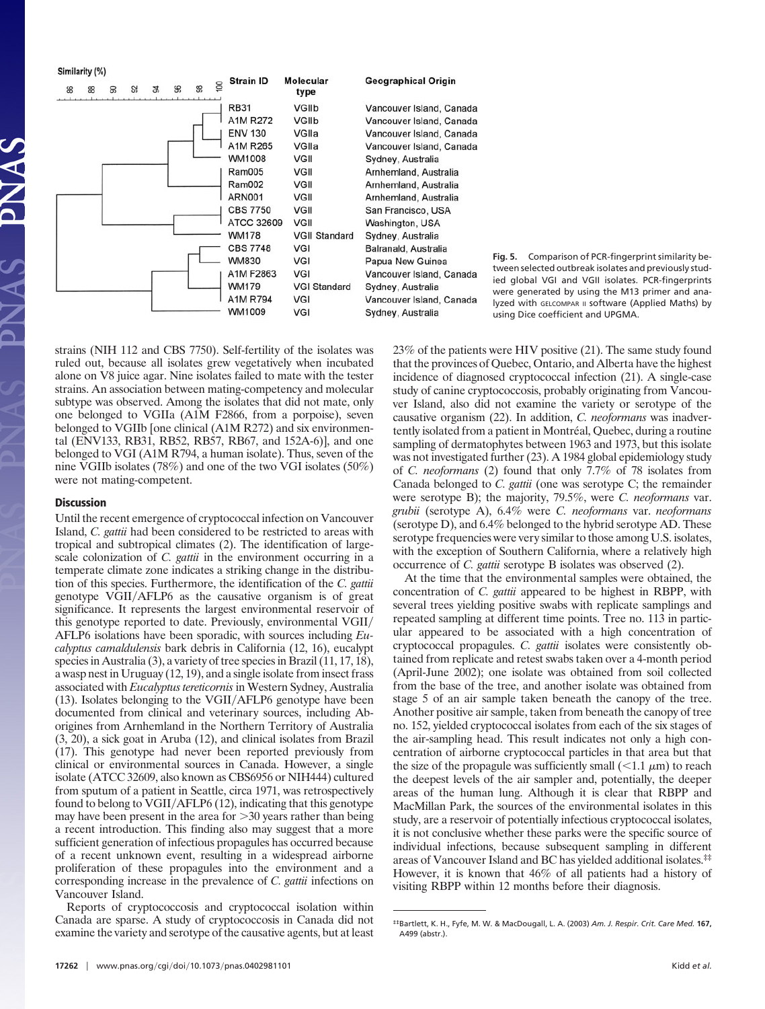Similarity (%)



**Fig. 5.** Comparison of PCR-fingerprint similarity between selected outbreak isolates and previously studied global VGI and VGII isolates. PCR-fingerprints were generated by using the M13 primer and analyzed with GELCOMPAR II software (Applied Maths) by using Dice coefficient and UPGMA.

strains (NIH 112 and CBS 7750). Self-fertility of the isolates was ruled out, because all isolates grew vegetatively when incubated alone on V8 juice agar. Nine isolates failed to mate with the tester strains. An association between mating-competency and molecular subtype was observed. Among the isolates that did not mate, only one belonged to VGIIa (A1M F2866, from a porpoise), seven belonged to VGIIb [one clinical (A1M R272) and six environmental (ENV133, RB31, RB52, RB57, RB67, and 152A-6)], and one belonged to VGI (A1M R794, a human isolate). Thus, seven of the nine VGIIb isolates (78%) and one of the two VGI isolates (50%) were not mating-competent.

## **Discussion**

Until the recent emergence of cryptococcal infection on Vancouver Island, *C. gattii* had been considered to be restricted to areas with tropical and subtropical climates (2). The identification of largescale colonization of *C. gattii* in the environment occurring in a temperate climate zone indicates a striking change in the distribution of this species. Furthermore, the identification of the *C. gattii* genotype VGII/AFLP6 as the causative organism is of great significance. It represents the largest environmental reservoir of this genotype reported to date. Previously, environmental VGII/ AFLP6 isolations have been sporadic, with sources including *Eucalyptus camaldulensis* bark debris in California (12, 16), eucalypt species in Australia (3), a variety of tree species in Brazil (11, 17, 18), a wasp nest in Uruguay (12, 19), and a single isolate from insect frass associated with *Eucalyptus tereticornis* in Western Sydney, Australia (13). Isolates belonging to the VGII/AFLP6 genotype have been documented from clinical and veterinary sources, including Aborigines from Arnhemland in the Northern Territory of Australia (3, 20), a sick goat in Aruba (12), and clinical isolates from Brazil (17). This genotype had never been reported previously from clinical or environmental sources in Canada. However, a single isolate (ATCC 32609, also known as CBS6956 or NIH444) cultured from sputum of a patient in Seattle, circa 1971, was retrospectively found to belong to VGII/AFLP6 (12), indicating that this genotype may have been present in the area for  $>$ 30 years rather than being a recent introduction. This finding also may suggest that a more sufficient generation of infectious propagules has occurred because of a recent unknown event, resulting in a widespread airborne proliferation of these propagules into the environment and a corresponding increase in the prevalence of *C. gattii* infections on Vancouver Island.

Reports of cryptococcosis and cryptococcal isolation within Canada are sparse. A study of cryptococcosis in Canada did not examine the variety and serotype of the causative agents, but at least 23% of the patients were HIV positive (21). The same study found that the provinces of Quebec, Ontario, and Alberta have the highest incidence of diagnosed cryptococcal infection (21). A single-case study of canine cryptococcosis, probably originating from Vancouver Island, also did not examine the variety or serotype of the causative organism (22). In addition, *C. neoformans* was inadvertently isolated from a patient in Montréal, Quebec, during a routine sampling of dermatophytes between 1963 and 1973, but this isolate was not investigated further (23). A 1984 global epidemiology study of *C. neoformans* (2) found that only 7.7% of 78 isolates from Canada belonged to *C. gattii* (one was serotype C; the remainder were serotype B); the majority, 79.5%, were *C. neoformans* var. *grubii* (serotype A), 6.4% were *C. neoformans* var. *neoformans* (serotype D), and 6.4% belonged to the hybrid serotype AD. These serotype frequencies were very similar to those among U.S. isolates, with the exception of Southern California, where a relatively high occurrence of *C. gattii* serotype B isolates was observed (2).

At the time that the environmental samples were obtained, the concentration of *C. gattii* appeared to be highest in RBPP, with several trees yielding positive swabs with replicate samplings and repeated sampling at different time points. Tree no. 113 in particular appeared to be associated with a high concentration of cryptococcal propagules. *C. gattii* isolates were consistently obtained from replicate and retest swabs taken over a 4-month period (April-June 2002); one isolate was obtained from soil collected from the base of the tree, and another isolate was obtained from stage 5 of an air sample taken beneath the canopy of the tree. Another positive air sample, taken from beneath the canopy of tree no. 152, yielded cryptococcal isolates from each of the six stages of the air-sampling head. This result indicates not only a high concentration of airborne cryptococcal particles in that area but that the size of the propagule was sufficiently small  $(<1.1 \mu m)$  to reach the deepest levels of the air sampler and, potentially, the deeper areas of the human lung. Although it is clear that RBPP and MacMillan Park, the sources of the environmental isolates in this study, are a reservoir of potentially infectious cryptococcal isolates, it is not conclusive whether these parks were the specific source of individual infections, because subsequent sampling in different areas of Vancouver Island and BC has yielded additional isolates.‡‡ However, it is known that 46% of all patients had a history of visiting RBPP within 12 months before their diagnosis.

<sup>‡‡</sup>Bartlett, K. H., Fyfe, M. W. & MacDougall, L. A. (2003) *Am. J. Respir. Crit. Care Med.* **167,** A499 (abstr.).